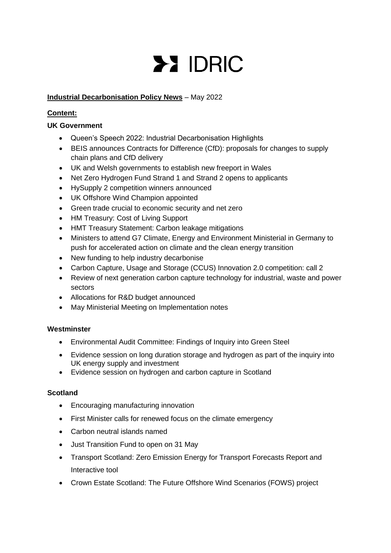# **>> IDRIC**

# **Industrial Decarbonisation Policy News** – May 2022

# **Content:**

# **UK Government**

- Queen's Speech 2022: Industrial Decarbonisation Highlights
- BEIS announces Contracts for Difference (CfD): proposals for changes to supply chain plans and CfD delivery
- UK and Welsh governments to establish new freeport in Wales
- Net Zero Hydrogen Fund Strand 1 and Strand 2 opens to applicants
- HySupply 2 competition winners announced
- UK Offshore Wind Champion appointed
- Green trade crucial to economic security and net zero
- HM Treasury: Cost of Living Support
- HMT Treasury Statement: Carbon leakage mitigations
- Ministers to attend G7 Climate, Energy and Environment Ministerial in Germany to push for accelerated action on climate and the clean energy transition
- New funding to help industry decarbonise
- Carbon Capture, Usage and Storage (CCUS) Innovation 2.0 competition: call 2
- Review of next generation carbon capture technology for industrial, waste and power sectors
- Allocations for R&D budget announced
- May Ministerial Meeting on Implementation notes

# **Westminster**

- Environmental Audit Committee: Findings of Inquiry into Green Steel
- Evidence session on long duration storage and hydrogen as part of the inquiry into UK energy supply and investment
- Evidence session on hydrogen and carbon capture in Scotland

# **Scotland**

- Encouraging manufacturing innovation
- First Minister calls for renewed focus on the climate emergency
- Carbon neutral islands named
- Just Transition Fund to open on 31 May
- Transport Scotland: Zero Emission Energy for Transport Forecasts Report and Interactive tool
- Crown Estate Scotland: The Future Offshore Wind Scenarios (FOWS) project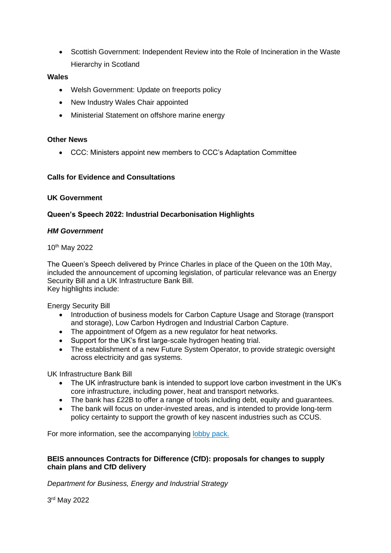• Scottish Government: Independent Review into the Role of Incineration in the Waste Hierarchy in Scotland

# **Wales**

- Welsh Government: Update on freeports policy
- New Industry Wales Chair appointed
- Ministerial Statement on offshore marine energy

# **Other News**

• CCC: Ministers appoint new members to CCC's Adaptation Committee

# **Calls for Evidence and Consultations**

## **UK Government**

# **Queen's Speech 2022: Industrial Decarbonisation Highlights**

## *HM Government*

10th May 2022

The Queen's Speech delivered by Prince Charles in place of the Queen on the 10th May, included the announcement of upcoming legislation, of particular relevance was an Energy Security Bill and a UK Infrastructure Bank Bill. Key highlights include:

Energy Security Bill

- Introduction of business models for Carbon Capture Usage and Storage (transport and storage), Low Carbon Hydrogen and Industrial Carbon Capture.
- The appointment of Ofgem as a new regulator for heat networks.
- Support for the UK's first large-scale hydrogen heating trial.
- The establishment of a new Future System Operator, to provide strategic oversight across electricity and gas systems.

UK Infrastructure Bank Bill

- The UK infrastructure bank is intended to support love carbon investment in the UK's core infrastructure, including power, heat and transport networks.
- The bank has £22B to offer a range of tools including debt, equity and guarantees.<br>• The bank will focus on under-invested areas, and is intended to provide long-term
- The bank will focus on under-invested areas, and is intended to provide long-term policy certainty to support the growth of key nascent industries such as CCUS.

For more information, see the accompanying [lobby pack.](https://assets.publishing.service.gov.uk/government/uploads/system/uploads/attachment_data/file/1074113/Lobby_Pack_10_May_2022.pdf)

# **BEIS announces Contracts for Difference (CfD): proposals for changes to supply chain plans and CfD delivery**

*Department for Business, Energy and Industrial Strategy*

3 rd May 2022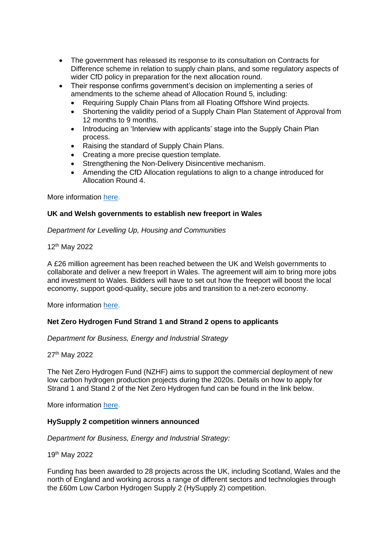- The government has released its response to its consultation on Contracts for Difference scheme in relation to supply chain plans, and some regulatory aspects of wider CfD policy in preparation for the next allocation round.
- Their response confirms government's decision on implementing a series of amendments to the scheme ahead of Allocation Round 5, including:
	- Requiring Supply Chain Plans from all Floating Offshore Wind projects.
	- Shortening the validity period of a Supply Chain Plan Statement of Approval from 12 months to 9 months.
	- Introducing an 'Interview with applicants' stage into the Supply Chain Plan process.
	- Raising the standard of Supply Chain Plans.
	- Creating a more precise question template.
	- Strengthening the Non-Delivery Disincentive mechanism.
	- Amending the CfD Allocation regulations to align to a change introduced for Allocation Round 4.

More information [here.](https://www.gov.uk/government/consultations/contracts-for-difference-cfd-proposals-for-changes-to-supply-chain-plans-and-cfd-delivery#full-publication-update-history)

## **UK and Welsh governments to establish new freeport in Wales**

*Department for Levelling Up, Housing and Communities*

12th May 2022

A £26 million agreement has been reached between the UK and Welsh governments to collaborate and deliver a new freeport in Wales. The agreement will aim to bring more jobs and investment to Wales. Bidders will have to set out how the freeport will boost the local economy, support good-quality, secure jobs and transition to a net-zero economy.

More information [here.](https://www.gov.uk/government/news/uk-and-welsh-governments-reach-26-million-deal-to-establish-new-freeport-in-wales)

# **Net Zero Hydrogen Fund Strand 1 and Strand 2 opens to applicants**

*Department for Business, Energy and Industrial Strategy*

27th May 2022

The Net Zero Hydrogen Fund (NZHF) aims to support the commercial deployment of new low carbon hydrogen production projects during the 2020s. Details on how to apply for Strand 1 and Stand 2 of the Net Zero Hydrogen fund can be found in the link below.

More information [here.](https://www.gov.uk/government/publications/net-zero-hydrogen-fund-strand-1-and-strand-2)

#### **HySupply 2 competition winners announced**

*Department for Business, Energy and Industrial Strategy:*

19th May 2022

Funding has been awarded to 28 projects across the UK, including Scotland, Wales and the north of England and working across a range of different sectors and technologies through the £60m Low Carbon Hydrogen Supply 2 (HySupply 2) competition.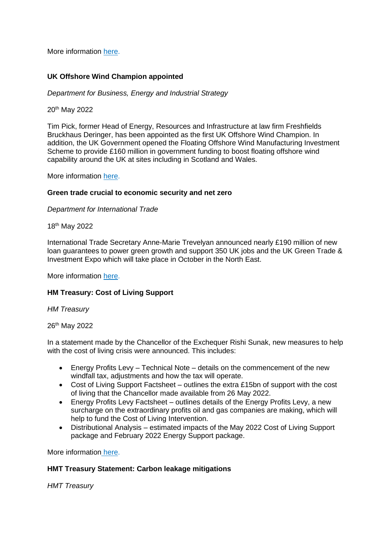More information [here.](https://www.gov.uk/government/news/winners-of-60-million-government-competition-to-develop-hydrogen-as-the-superfuel-of-the-future-unveiled)

# **UK Offshore Wind Champion appointed**

*Department for Business, Energy and Industrial Strategy*

20th May 2022

Tim Pick, former Head of Energy, Resources and Infrastructure at law firm Freshfields Bruckhaus Deringer, has been appointed as the first UK Offshore Wind Champion. In addition, the UK Government opened the Floating Offshore Wind Manufacturing Investment Scheme to provide £160 million in government funding to boost floating offshore wind capability around the UK at sites including in Scotland and Wales.

More information [here.](https://www.gov.uk/government/news/offshore-wind-champion-appointed-as-160m-floating-offshore-wind-fund-opens-for-expressions-of-interest)

## **Green trade crucial to economic security and net zero**

*Department for International Trade*

18th May 2022

International Trade Secretary Anne-Marie Trevelyan announced nearly £190 million of new loan guarantees to power green growth and support 350 UK jobs and the UK Green Trade & Investment Expo which will take place in October in the North East.

More information [here.](https://www.gov.uk/government/news/green-trade-crucial-to-economic-security-and-net-zero-says-international-trade-secretary)

# **HM Treasury: Cost of Living Support**

#### *HM Treasury*

26th May 2022

In a statement made by the Chancellor of the Exchequer Rishi Sunak, new measures to help with the cost of living crisis were announced. This includes:

- Energy Profits Levy Technical Note details on the commencement of the new windfall tax, adjustments and how the tax will operate.
- Cost of Living Support Factsheet outlines the extra £15bn of support with the cost of living that the Chancellor made available from 26 May 2022.
- Energy Profits Levy Factsheet outlines details of the Energy Profits Levy, a new surcharge on the extraordinary profits oil and gas companies are making, which will help to fund the Cost of Living Intervention.
- Distributional Analysis estimated impacts of the May 2022 Cost of Living Support package and February 2022 Energy Support package.

More information [here.](https://www.gov.uk/government/speeches/cost-of-living-support)

# **HMT Treasury Statement: Carbon leakage mitigations**

*HMT Treasury*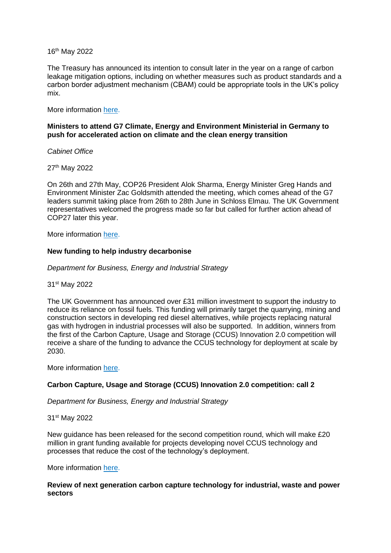16th May 2022

The Treasury has announced its intention to consult later in the year on a range of carbon leakage mitigation options, including on whether measures such as product standards and a carbon border adjustment mechanism (CBAM) could be appropriate tools in the UK's policy mix.

More information [here.](https://questions-statements.parliament.uk/written-statements/detail/2022-05-16/hcws26)

## **Ministers to attend G7 Climate, Energy and Environment Ministerial in Germany to push for accelerated action on climate and the clean energy transition**

*Cabinet Office*

27th May 2022

On 26th and 27th May, COP26 President Alok Sharma, Energy Minister Greg Hands and Environment Minister Zac Goldsmith attended the meeting, which comes ahead of the G7 leaders summit taking place from 26th to 28th June in Schloss Elmau. The UK Government representatives welcomed the progress made so far but called for further action ahead of COP27 later this year.

More information [here.](https://www.gov.uk/government/speeches/cop26-president-remarks-at-the-g7-climate-energy-and-environment-ministerial-press-conference)

#### **New funding to help industry decarbonise**

*Department for Business, Energy and Industrial Strategy*

31st May 2022

The UK Government has announced over £31 million investment to support the industry to reduce its reliance on fossil fuels. This funding will primarily target the quarrying, mining and construction sectors in developing red diesel alternatives, while projects replacing natural gas with hydrogen in industrial processes will also be supported. In addition, winners from the first of the Carbon Capture, Usage and Storage (CCUS) Innovation 2.0 competition will receive a share of the funding to advance the CCUS technology for deployment at scale by 2030.

More information [here.](https://www.gov.uk/government/news/government-invests-over-31-million-to-help-industry-slash-emissions-and-energy-costs)

## **Carbon Capture, Usage and Storage (CCUS) Innovation 2.0 competition: call 2**

*Department for Business, Energy and Industrial Strategy*

31st May 2022

New guidance has been released for the second competition round, which will make £20 million in grant funding available for projects developing novel CCUS technology and processes that reduce the cost of the technology's deployment.

More information [here.](https://www.gov.uk/government/publications/carbon-capture-usage-and-storage-ccus-innovation-20-competition-call-2)

#### **Review of next generation carbon capture technology for industrial, waste and power sectors**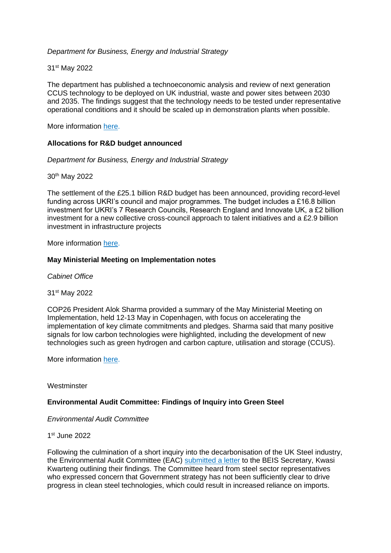# *Department for Business, Energy and Industrial Strategy*

## 31st May 2022

The department has published a technoeconomic analysis and review of next generation CCUS technology to be deployed on UK industrial, waste and power sites between 2030 and 2035. The findings suggest that the technology needs to be tested under representative operational conditions and it should be scaled up in demonstration plants when possible.

More information [here.](https://www.gov.uk/government/publications/review-of-next-generation-carbon-capture-technology-for-industrial-waste-and-power-sectors)

## **Allocations for R&D budget announced**

*Department for Business, Energy and Industrial Strategy*

30th May 2022

The settlement of the £25.1 billion R&D budget has been announced, providing record-level funding across UKRI's council and major programmes. The budget includes a £16.8 billion investment for UKRI's 7 Research Councils, Research England and Innovate UK, a £2 billion investment for a new collective cross-council approach to talent initiatives and a £2.9 billion investment in infrastructure projects

More information [here.](https://www.gov.uk/government/news/allocations-announced-for-record-level-25-billion-rd-budget)

## **May Ministerial Meeting on Implementation notes**

*Cabinet Office*

31st May 2022

COP26 President Alok Sharma provided a summary of the May Ministerial Meeting on Implementation, held 12-13 May in Copenhagen, with focus on accelerating the implementation of key climate commitments and pledges. Sharma said that many positive signals for low carbon technologies were highlighted, including the development of new technologies such as green hydrogen and carbon capture, utilisation and storage (CCUS).

More information [here.](https://www.gov.uk/government/news/may-ministerial-meeting-on-implementation-co-chairs-summary)

**Westminster** 

#### **Environmental Audit Committee: Findings of Inquiry into Green Steel**

*Environmental Audit Committee*

#### 1 st June 2022

Following the culmination of a short inquiry into the decarbonisation of the UK Steel industry, the Environmental Audit Committee (EAC) [submitted a letter](https://committees.parliament.uk/publications/22480/documents/165697/default/) to the BEIS Secretary, Kwasi Kwarteng outlining their findings. The Committee heard from steel sector representatives who expressed concern that Government strategy has not been sufficiently clear to drive progress in clean steel technologies, which could result in increased reliance on imports.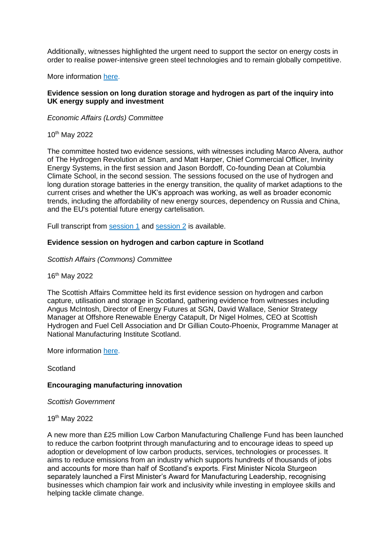Additionally, witnesses highlighted the urgent need to support the sector on energy costs in order to realise power-intensive green steel technologies and to remain globally competitive.

More information [here.](https://committees.parliament.uk/committee/62/environmental-audit-committee/news/171214/uk-steelmaking-could-be-jeopardised-unless-new-clean-technologies-are-progressed-eac-argues/)

## **Evidence session on long duration storage and hydrogen as part of the inquiry into UK energy supply and investment**

*Economic Affairs (Lords) Committee*

10th May 2022

The committee hosted two evidence sessions, with witnesses including Marco Alvera, author of The Hydrogen Revolution at Snam, and Matt Harper, Chief Commercial Officer, Invinity Energy Systems, in the first session and Jason Bordoff, Co-founding Dean at Columbia Climate School, in the second session. The sessions focused on the use of hydrogen and long duration storage batteries in the energy transition, the quality of market adaptions to the current crises and whether the UK's approach was working, as well as broader economic trends, including the affordability of new energy sources, dependency on Russia and China, and the EU's potential future energy cartelisation.

Full transcript from [session 1](https://committees.parliament.uk/oralevidence/10201/pdf/) and [session 2](https://committees.parliament.uk/oralevidence/10202/pdf/) is available.

#### **Evidence session on hydrogen and carbon capture in Scotland**

#### *Scottish Affairs (Commons) Committee*

16th May 2022

The Scottish Affairs Committee held its first evidence session on hydrogen and carbon capture, utilisation and storage in Scotland, gathering evidence from witnesses including Angus McIntosh, Director of Energy Futures at SGN, David Wallace, Senior Strategy Manager at Offshore Renewable Energy Catapult, Dr Nigel Holmes, CEO at Scottish Hydrogen and Fuel Cell Association and Dr Gillian Couto-Phoenix, Programme Manager at National Manufacturing Institute Scotland.

More information [here.](https://committees.parliament.uk/event/13129/formal-meeting-oral-evidence-session/)

**Scotland** 

#### **Encouraging manufacturing innovation**

*Scottish Government*

19th May 2022

A new more than £25 million Low Carbon Manufacturing Challenge Fund has been launched to reduce the carbon footprint through manufacturing and to encourage ideas to speed up adoption or development of low carbon products, services, technologies or processes. It aims to reduce emissions from an industry which supports hundreds of thousands of jobs and accounts for more than half of Scotland's exports. First Minister Nicola Sturgeon separately launched a First Minister's Award for Manufacturing Leadership, recognising businesses which champion fair work and inclusivity while investing in employee skills and helping tackle climate change.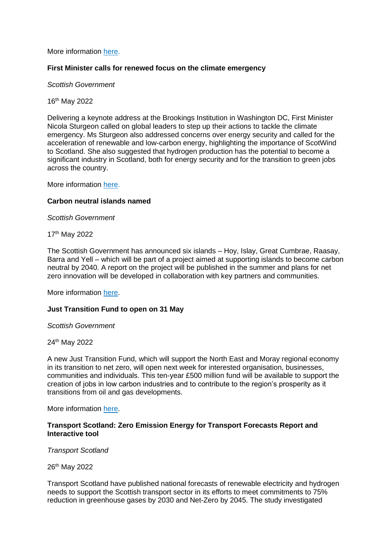More information [here.](https://www.gov.scot/news/encouraging-manufacturing-innovation/)

#### **First Minister calls for renewed focus on the climate emergency**

*Scottish Government*

16th May 2022

Delivering a keynote address at the Brookings Institution in Washington DC, First Minister Nicola Sturgeon called on global leaders to step up their actions to tackle the climate emergency. Ms Sturgeon also addressed concerns over energy security and called for the acceleration of renewable and low-carbon energy, highlighting the importance of ScotWind to Scotland. She also suggested that hydrogen production has the potential to become a significant industry in Scotland, both for energy security and for the transition to green jobs across the country.

More information [here.](https://www.gov.scot/news/renewed-focus-needed-on-climate-emergency/)

#### **Carbon neutral islands named**

*Scottish Government*

17th May 2022

The Scottish Government has announced six islands – Hoy, Islay, Great Cumbrae, Raasay, Barra and Yell – which will be part of a project aimed at supporting islands to become carbon neutral by 2040. A report on the project will be published in the summer and plans for net zero innovation will be developed in collaboration with key partners and communities.

More information [here.](https://www.gov.scot/news/carbon-neutral-islands-named/)

#### **Just Transition Fund to open on 31 May**

*Scottish Government*

24th May 2022

A new Just Transition Fund, which will support the North East and Moray regional economy in its transition to net zero, will open next week for interested organisation, businesses, communities and individuals. This ten-year £500 million fund will be available to support the creation of jobs in low carbon industries and to contribute to the region's prosperity as it transitions from oil and gas developments.

More information [here.](https://www.gov.scot/news/supporting-scotlands-just-transition/)

## **Transport Scotland: Zero Emission Energy for Transport Forecasts Report and Interactive tool**

*Transport Scotland*

26th May 2022

Transport Scotland have published national forecasts of renewable electricity and hydrogen needs to support the Scottish transport sector in its efforts to meet commitments to 75% reduction in greenhouse gases by 2030 and Net-Zero by 2045. The study investigated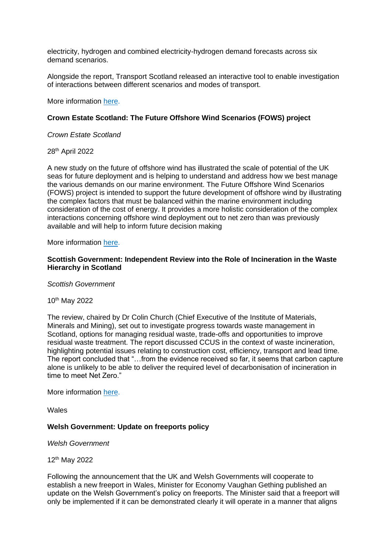electricity, hydrogen and combined electricity-hydrogen demand forecasts across six demand scenarios.

Alongside the report, Transport Scotland released an interactive tool to enable investigation of interactions between different scenarios and modes of transport.

More information [here.](https://www.transport.gov.scot/publication/zero-emission-energy-for-transport-forecasts-national/)

## **Crown Estate Scotland: The Future Offshore Wind Scenarios (FOWS) project**

*Crown Estate Scotland*

28th April 2022

A new study on the future of offshore wind has illustrated the scale of potential of the UK seas for future deployment and is helping to understand and address how we best manage the various demands on our marine environment. The Future Offshore Wind Scenarios (FOWS) project is intended to support the future development of offshore wind by illustrating the complex factors that must be balanced within the marine environment including consideration of the cost of energy. It provides a more holistic consideration of the complex interactions concerning offshore wind deployment out to net zero than was previously available and will help to inform future decision making

More information [here.](https://www.crownestatescotland.com/news/new-study-illustrates-scale-of-potential-for-the-development-of-uk-offshore-wind)

#### **Scottish Government: Independent Review into the Role of Incineration in the Waste Hierarchy in Scotland**

*Scottish Government*

10th May 2022

The review, chaired by Dr Colin Church (Chief Executive of the Institute of Materials, Minerals and Mining), set out to investigate progress towards waste management in Scotland, options for managing residual waste, trade-offs and opportunities to improve residual waste treatment. The report discussed CCUS in the context of waste incineration, highlighting potential issues relating to construction cost, efficiency, transport and lead time. The report concluded that "…from the evidence received so far, it seems that carbon capture alone is unlikely to be able to deliver the required level of decarbonisation of incineration in time to meet Net Zero."

More information [here.](file:///C:/LocalStore/jrf2001/Downloads/stop-sort-burn-bury-independent-review-role-incineration-waste-hierarchy-scotland-report.pdf)

Wales

#### **Welsh Government: Update on freeports policy**

*Welsh Government*

12th May 2022

Following the announcement that the UK and Welsh Governments will cooperate to establish a new freeport in Wales, Minister for Economy Vaughan Gething published an update on the Welsh Government's policy on freeports. The Minister said that a freeport will only be implemented if it can be demonstrated clearly it will operate in a manner that aligns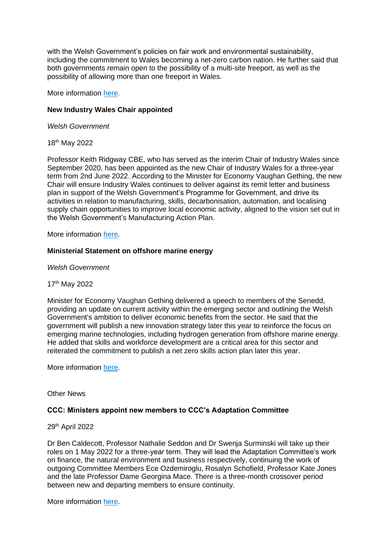with the Welsh Government's policies on fair work and environmental sustainability, including the commitment to Wales becoming a net-zero carbon nation. He further said that both governments remain open to the possibility of a multi-site freeport, as well as the possibility of allowing more than one freeport in Wales.

More information [here.](https://gov.wales/written-statement-update-freeports-policy-wales)

# **New Industry Wales Chair appointed**

*Welsh Government*

18th May 2022

Professor Keith Ridgway CBE, who has served as the interim Chair of Industry Wales since September 2020, has been appointed as the new Chair of Industry Wales for a three-year term from 2nd June 2022. According to the Minister for Economy Vaughan Gething, the new Chair will ensure Industry Wales continues to deliver against its remit letter and business plan in support of the Welsh Government's Programme for Government, and drive its activities in relation to manufacturing, skills, decarbonisation, automation, and localising supply chain opportunities to improve local economic activity, aligned to the vision set out in the Welsh Government's Manufacturing Action Plan.

More information [here.](https://gov.wales/new-industry-wales-chair-appointed)

## **Ministerial Statement on offshore marine energy**

*Welsh Government* 

#### 17th May 2022

Minister for Economy Vaughan Gething delivered a speech to members of the Senedd, providing an update on current activity within the emerging sector and outlining the Welsh Government's ambition to deliver economic benefits from the sector. He said that the government will publish a new innovation strategy later this year to reinforce the focus on emerging marine technologies, including hydrogen generation from offshore marine energy. He added that skills and workforce development are a critical area for this sector and reiterated the commitment to publish a net zero skills action plan later this year.

More information [here.](https://record.senedd.wales/Plenary/12841#A72113)

Other News

# **CCC: Ministers appoint new members to CCC's Adaptation Committee**

#### 29th April 2022

Dr Ben Caldecott, Professor Nathalie Seddon and Dr Swenja Surminski will take up their roles on 1 May 2022 for a three-year term. They will lead the Adaptation Committee's work on finance, the natural environment and business respectively, continuing the work of outgoing Committee Members Ece Ozdemiroglu, Rosalyn Schofield, Professor Kate Jones and the late Professor Dame Georgina Mace. There is a three-month crossover period between new and departing members to ensure continuity.

More information [here.](https://www.theccc.org.uk/2022/04/29/ministers-appoint-new-members-to-cccs-adaptation-committee/)